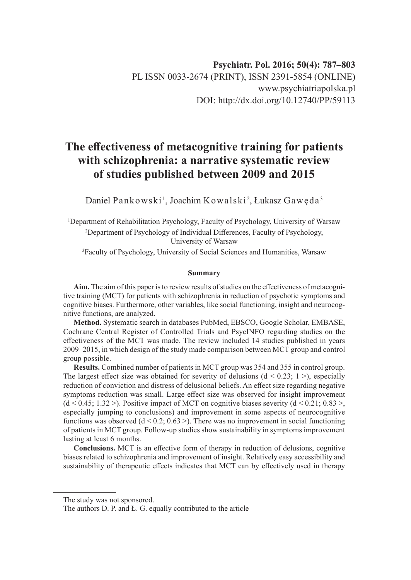# **The effectiveness of metacognitive training for patients with schizophrenia: a narrative systematic review of studies published between 2009 and 2015**

Daniel Pankowski <sup>1</sup>, Joachim Kowalski <sup>2</sup>, Łukasz Gawęda  $^3$ 

1 Department of Rehabilitation Psychology, Faculty of Psychology, University of Warsaw 2 Department of Psychology of Individual Differences, Faculty of Psychology, University of Warsaw

3 Faculty of Psychology, University of Social Sciences and Humanities, Warsaw

#### **Summary**

**Aim.** The aim of this paper is to review results of studies on the effectiveness of metacognitive training (MCT) for patients with schizophrenia in reduction of psychotic symptoms and cognitive biases. Furthermore, other variables, like social functioning, insight and neurocognitive functions, are analyzed.

**Method.** Systematic search in databases PubMed, EBSCO, Google Scholar, EMBASE, Cochrane Central Register of Controlled Trials and PsycINFO regarding studies on the effectiveness of the MCT was made. The review included 14 studies published in years 2009–2015, in which design of the study made comparison between MCT group and control group possible.

**Results.** Combined number of patients in MCT group was 354 and 355 in control group. The largest effect size was obtained for severity of delusions  $(d < 0.23; 1>)$ , especially reduction of conviction and distress of delusional beliefs. An effect size regarding negative symptoms reduction was small. Large effect size was observed for insight improvement  $(d < 0.45; 1.32)$ . Positive impact of MCT on cognitive biases severity  $(d < 0.21; 0.83)$ , especially jumping to conclusions) and improvement in some aspects of neurocognitive functions was observed  $(d < 0.2; 0.63)$ . There was no improvement in social functioning of patients in MCT group. Follow-up studies show sustainability in symptoms improvement lasting at least 6 months.

**Conclusions.** MCT is an effective form of therapy in reduction of delusions, cognitive biases related to schizophrenia and improvement of insight. Relatively easy accessibility and sustainability of therapeutic effects indicates that MCT can by effectively used in therapy

The study was not sponsored.

The authors D. P. and Ł. G. equally contributed to the article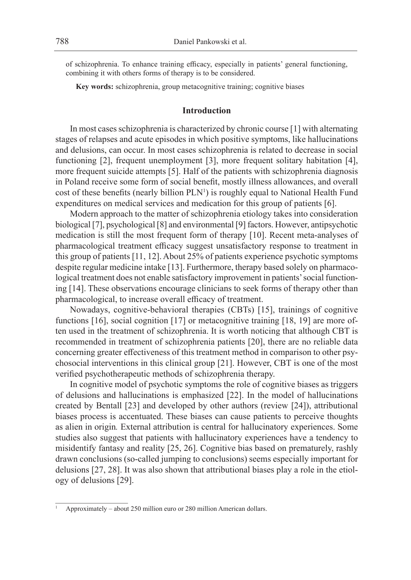of schizophrenia. To enhance training efficacy, especially in patients' general functioning, combining it with others forms of therapy is to be considered.

**Key words:** schizophrenia, group metacognitive training; cognitive biases

# **Introduction**

In most cases schizophrenia is characterized by chronic course [1] with alternating stages of relapses and acute episodes in which positive symptoms, like hallucinations and delusions, can occur. In most cases schizophrenia is related to decrease in social functioning [2], frequent unemployment [3], more frequent solitary habitation [4], more frequent suicide attempts [5]. Half of the patients with schizophrenia diagnosis in Poland receive some form of social benefit, mostly illness allowances, and overall cost of these benefits (nearly billion  $PLN<sup>1</sup>$ ) is roughly equal to National Health Fund expenditures on medical services and medication for this group of patients [6].

Modern approach to the matter of schizophrenia etiology takes into consideration biological [7], psychological [8] and environmental [9] factors. However, antipsychotic medication is still the most frequent form of therapy [10]. Recent meta-analyses of pharmacological treatment efficacy suggest unsatisfactory response to treatment in this group of patients [11, 12]. About 25% of patients experience psychotic symptoms despite regular medicine intake [13]. Furthermore, therapy based solely on pharmacological treatment does not enable satisfactory improvement in patients' social functioning [14]. These observations encourage clinicians to seek forms of therapy other than pharmacological, to increase overall efficacy of treatment.

Nowadays, cognitive-behavioral therapies (CBTs) [15], trainings of cognitive functions [16], social cognition [17] or metacognitive training [18, 19] are more often used in the treatment of schizophrenia. It is worth noticing that although CBT is recommended in treatment of schizophrenia patients [20], there are no reliable data concerning greater effectiveness of this treatment method in comparison to other psychosocial interventions in this clinical group [21]. However, CBT is one of the most verified psychotherapeutic methods of schizophrenia therapy.

In cognitive model of psychotic symptoms the role of cognitive biases as triggers of delusions and hallucinations is emphasized [22]. In the model of hallucinations created by Bentall [23] and developed by other authors (review [24]), attributional biases process is accentuated. These biases can cause patients to perceive thoughts as alien in origin*.* External attribution is central for hallucinatory experiences. Some studies also suggest that patients with hallucinatory experiences have a tendency to misidentify fantasy and reality [25, 26]. Cognitive bias based on prematurely, rashly drawn conclusions (so-called jumping to conclusions) seems especially important for delusions [27, 28]. It was also shown that attributional biases play a role in the etiology of delusions [29].

<sup>1</sup> Approximately – about 250 million euro or 280 million American dollars.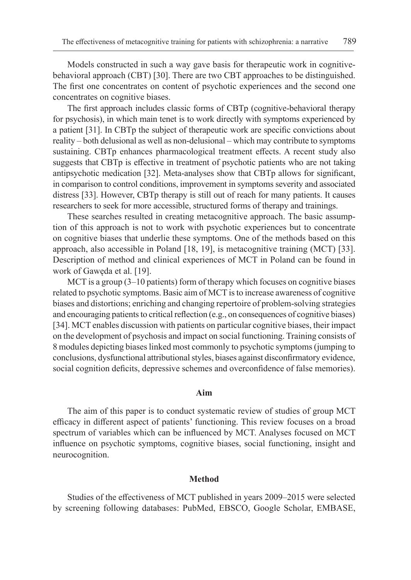Models constructed in such a way gave basis for therapeutic work in cognitivebehavioral approach (CBT) [30]. There are two CBT approaches to be distinguished. The first one concentrates on content of psychotic experiences and the second one concentrates on cognitive biases.

The first approach includes classic forms of CBTp (cognitive-behavioral therapy for psychosis), in which main tenet is to work directly with symptoms experienced by a patient [31]. In CBTp the subject of therapeutic work are specific convictions about reality – both delusional as well as non-delusional – which may contribute to symptoms sustaining. CBTp enhances pharmacological treatment effects. A recent study also suggests that CBTp is effective in treatment of psychotic patients who are not taking antipsychotic medication [32]. Meta-analyses show that CBTp allows for significant, in comparison to control conditions, improvement in symptoms severity and associated distress [33]. However, CBTp therapy is still out of reach for many patients. It causes researchers to seek for more accessible, structured forms of therapy and trainings.

These searches resulted in creating metacognitive approach. The basic assumption of this approach is not to work with psychotic experiences but to concentrate on cognitive biases that underlie these symptoms. One of the methods based on this approach, also accessible in Poland [18, 19], is metacognitive training (MCT) [33]. Description of method and clinical experiences of MCT in Poland can be found in work of Gawęda et al. [19].

MCT is a group (3–10 patients) form of therapy which focuses on cognitive biases related to psychotic symptoms. Basic aim of MCT is to increase awareness of cognitive biases and distortions; enriching and changing repertoire of problem-solving strategies and encouraging patients to critical reflection (e.g., on consequences of cognitive biases) [34]. MCT enables discussion with patients on particular cognitive biases, their impact on the development of psychosis and impact on social functioning. Training consists of 8 modules depicting biases linked most commonly to psychotic symptoms (jumping to conclusions, dysfunctional attributional styles, biases against disconfirmatory evidence, social cognition deficits, depressive schemes and overconfidence of false memories).

#### **Aim**

The aim of this paper is to conduct systematic review of studies of group MCT efficacy in different aspect of patients' functioning. This review focuses on a broad spectrum of variables which can be influenced by MCT. Analyses focused on MCT influence on psychotic symptoms, cognitive biases, social functioning, insight and neurocognition.

#### **Method**

Studies of the effectiveness of MCT published in years 2009–2015 were selected by screening following databases: PubMed, EBSCO, Google Scholar, EMBASE,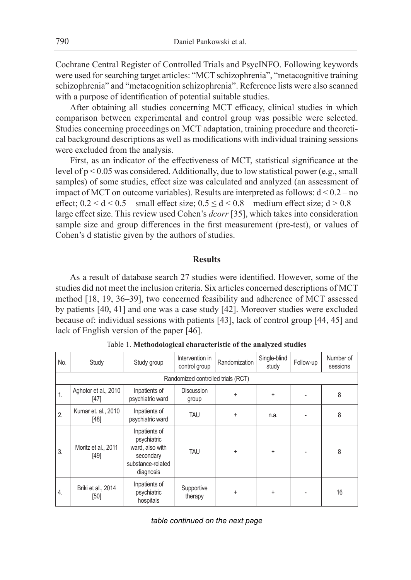Cochrane Central Register of Controlled Trials and PsycINFO. Following keywords were used for searching target articles: "MCT schizophrenia", "metacognitive training schizophrenia" and "metacognition schizophrenia". Reference lists were also scanned with a purpose of identification of potential suitable studies.

After obtaining all studies concerning MCT efficacy, clinical studies in which comparison between experimental and control group was possible were selected. Studies concerning proceedings on MCT adaptation, training procedure and theoretical background descriptions as well as modifications with individual training sessions were excluded from the analysis.

First, as an indicator of the effectiveness of MCT, statistical significance at the level of p < 0.05 was considered. Additionally, due to low statistical power (e.g., small samples) of some studies, effect size was calculated and analyzed (an assessment of impact of MCT on outcome variables). Results are interpreted as follows:  $d < 0.2 - no$ effect;  $0.2 < d < 0.5$  – small effect size;  $0.5 \le d < 0.8$  – medium effect size;  $d > 0.8$  – large effect size. This review used Cohen's *dcorr* [35], which takes into consideration sample size and group differences in the first measurement (pre-test), or values of Cohen's d statistic given by the authors of studies.

#### **Results**

As a result of database search 27 studies were identified. However, some of the studies did not meet the inclusion criteria. Six articles concerned descriptions of MCT method [18, 19, 36–39], two concerned feasibility and adherence of MCT assessed by patients [40, 41] and one was a case study [42]. Moreover studies were excluded because of: individual sessions with patients [43], lack of control group [44, 45] and lack of English version of the paper [46].

| No.              | Study                              | Study group                                                                                    | Intervention in<br>control group | Randomization | Single-blind<br>study | Follow-up | Number of<br>sessions |  |
|------------------|------------------------------------|------------------------------------------------------------------------------------------------|----------------------------------|---------------|-----------------------|-----------|-----------------------|--|
|                  | Randomized controlled trials (RCT) |                                                                                                |                                  |               |                       |           |                       |  |
| $\mathbf{1}$ .   | Aghotor et al., 2010<br>$[47]$     | Inpatients of<br>psychiatric ward                                                              | <b>Discussion</b><br>group       | $\ddot{}$     | $\ddot{}$             |           | 8                     |  |
| $\overline{2}$ . | Kumar et. al., 2010<br>[48]        | Inpatients of<br>psychiatric ward                                                              | TAU                              | $\ddot{}$     | n.a.                  |           | 8                     |  |
| 3.               | Moritz et al., 2011<br>[49]        | Inpatients of<br>psychiatric<br>ward, also with<br>secondary<br>substance-related<br>diagnosis | TAU                              | $\ddot{}$     | $\ddot{}$             |           | 8                     |  |
| 4.               | Briki et al., 2014<br>$[50]$       | Inpatients of<br>psychiatric<br>hospitals                                                      | Supportive<br>therapy            | $\ddot{}$     | +                     |           | 16                    |  |

Table 1. **Methodological characteristic of the analyzed studies**

*table continued on the next page*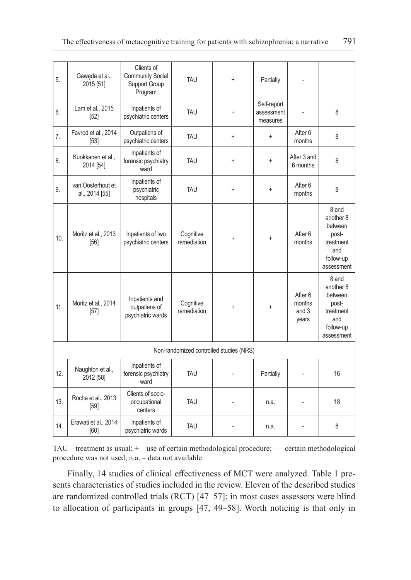| 5.             | Gaweda et al.,<br>2015 [51]         | Clients of<br><b>Community Social</b><br>Support Group<br>Program | <b>TAU</b>               | $\ddot{}$                               | Partially                             |                                     |                                                                                       |
|----------------|-------------------------------------|-------------------------------------------------------------------|--------------------------|-----------------------------------------|---------------------------------------|-------------------------------------|---------------------------------------------------------------------------------------|
| 6.             | Lam et al., 2015<br>$[52]$          | Inpatients of<br>psychiatric centers                              | <b>TAU</b>               | $\ddot{}$                               | Self-report<br>assessment<br>measures |                                     | 8                                                                                     |
| 7 <sub>1</sub> | Favrod et al., 2014<br>$[53]$       | Outpatiens of<br>psychiatric centers                              | TAU                      | $\ddot{}$                               | $\ddot{}$                             | After 6<br>months                   | 8                                                                                     |
| 8.             | Kuokkanen et al.,<br>2014 [54]      | Inpatients of<br>forensic psychiatry<br>ward                      | TAU                      | $\ddot{}$                               | $\ddot{}$                             | After 3 and<br>6 months             | 8                                                                                     |
| 9.             | van Oosterhout et<br>al., 2014 [55] | Inpatients of<br>psychiatric<br>hospitals                         | TAU                      | $\ddot{}$                               | ÷                                     | After <sub>6</sub><br>months        | 8                                                                                     |
| 10.            | Moritz et al., 2013<br>[56]         | Inpatients of two<br>psychiatric centers                          | Cognitive<br>remediation | $\ddot{}$                               | $\ddot{}$                             | After 6<br>months                   | 8 and<br>another 8<br>between<br>post-<br>treatment<br>and<br>follow-up<br>assessment |
| 11.            | Moritz et al., 2014<br>$[57]$       | Inpatients and<br>outpatiens of<br>psychiatric wards              | Cognitive<br>remediation | $\ddot{}$                               | ÷                                     | After 6<br>months<br>and 3<br>years | 8 and<br>another 8<br>between<br>post-<br>treatment<br>and<br>follow-up<br>assessment |
|                |                                     |                                                                   |                          | Non-randomized controlled studies (NRS) |                                       |                                     |                                                                                       |
| 12.            | Naughton et al.,<br>2012 [58]       | Inpatients of<br>forensic psychiatry<br>ward                      | <b>TAU</b>               |                                         | Partially                             |                                     | 16                                                                                    |
| 13.            | Rocha et al., 2013<br>[59]          | Clients of socio-<br>occupational<br>centers                      | <b>TAU</b>               |                                         | n.a.                                  |                                     | 18                                                                                    |
| 14.            | Erawati et al., 2014<br>[60]        | Inpatients of<br>psychiatric wards                                | TAU                      |                                         | n.a.                                  |                                     | 8                                                                                     |

TAU – treatment as usual; + – use of certain methodological procedure; – – certain methodological procedure was not used; n.a. – data not available

Finally, 14 studies of clinical effectiveness of MCT were analyzed. Table 1 presents characteristics of studies included in the review. Eleven of the described studies are randomized controlled trials (RCT) [47–57]; in most cases assessors were blind to allocation of participants in groups [47, 49–58]. Worth noticing is that only in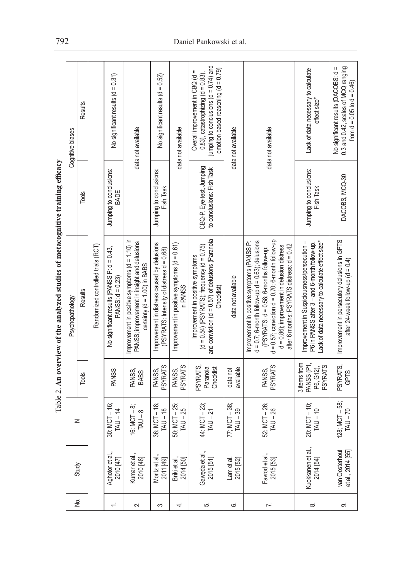|                                                                                                                                                                                                                                                                                                                     | Cognitive biases | Results |                                    | No significant results $(d = 0.31)$                             | data not available                                                                                                                  | No significant results (d = 0.52)                                                        | data not available                                      | jumping to conclusions ( $d = 0.74$ ) and<br>emotion based reasoning $(d = 0.79)$<br>Overall improvement in CBQ (d =<br>$0.83$ ), catastrophizing (d = 0.83), | data not available          | data not available                                                                                                                                                                                                                                                                                          | Lack of data necessary to calculate<br>effect size*                                                                                             | 0.3 and 0.42, scales of MCQ ranging<br>No significant results (DACOBS: d =<br>from $d = 0.05$ to $d = 0.46$ ) |
|---------------------------------------------------------------------------------------------------------------------------------------------------------------------------------------------------------------------------------------------------------------------------------------------------------------------|------------------|---------|------------------------------------|-----------------------------------------------------------------|-------------------------------------------------------------------------------------------------------------------------------------|------------------------------------------------------------------------------------------|---------------------------------------------------------|---------------------------------------------------------------------------------------------------------------------------------------------------------------|-----------------------------|-------------------------------------------------------------------------------------------------------------------------------------------------------------------------------------------------------------------------------------------------------------------------------------------------------------|-------------------------------------------------------------------------------------------------------------------------------------------------|---------------------------------------------------------------------------------------------------------------|
|                                                                                                                                                                                                                                                                                                                     |                  | Tools   |                                    | Jumping to conclusions:<br>BADE                                 |                                                                                                                                     | Jumping to conclusions:<br>Fish Task                                                     |                                                         | CBQ-P, Eye-test, Jumping<br>to conclusions: Fish Task                                                                                                         |                             |                                                                                                                                                                                                                                                                                                             | Jumping to conclusions:<br>Fish Task                                                                                                            | DACOBS, MCQ-30                                                                                                |
| $\frac{1}{2}$ $\frac{1}{2}$ $\frac{1}{2}$ $\frac{1}{2}$ $\frac{1}{2}$ $\frac{1}{2}$ $\frac{1}{2}$ $\frac{1}{2}$ $\frac{1}{2}$ $\frac{1}{2}$ $\frac{1}{2}$ $\frac{1}{2}$ $\frac{1}{2}$ $\frac{1}{2}$ $\frac{1}{2}$ $\frac{1}{2}$ $\frac{1}{2}$ $\frac{1}{2}$ $\frac{1}{2}$ $\frac{1}{2}$ $\frac{1}{2}$ $\frac{1}{2}$ | Psychopathology  | Results | Randomized controlled trials (RCT) | No significant results (PANSS P: d = 0.43,<br>PANSS: $d = 0.23$ | Improvement in positive symptoms $(d = 1.10)$ in<br>PANSS; improvement in insight and delusions<br>certainty ( $d = 1.00$ ) in BABS | Improvement in distress caused by delusions<br>(PSYRATS: Intensity of distress d = 0.68) | Improvement in positive symptoms (d = 0.61)<br>in PANSS | and conviction ( $d = 0.57$ ) of delusions (Paranoia<br>$(d = 0.54)$ (PSYRATS); frequency $(d = 0.75)$<br>Improvement in positive symptoms<br>Checklist)      | data not available          | $d = 0.57$ ; conviction $d = 0.70$ ; 6-month follow-up<br>$d = 0.7$ ; 6-month follow-up $d = 0.63$ ); delusions<br>Improvement in positive symptoms (PANSS P:<br>after 6 months: PSYRATS distress: d = 0.42<br>$d = 0.86$ ); improvement in delusion distress<br>(PSYRATS: $d = 0.58$ ; 6-months follow-up: | Improvement in Suspiciousness/persecution -<br>-ack of data necessary to calculate effect size*<br>P6 in PANSS after 3 - and 6-month follow-up. | Improvement in persecutory delusions in GPTS<br>after 24-week follow-up (d = $0.4$ )                          |
|                                                                                                                                                                                                                                                                                                                     |                  | Tools   |                                    | <b>PANSS</b>                                                    | PANSS,<br><b>BABS</b>                                                                                                               | <b>PSYRATS</b><br>PANSS,                                                                 | <b>PSYRATS</b><br>PANSS,                                | PSYRATS,<br>Paranoia<br>Checklist                                                                                                                             | available<br>data not       | <b>PSYRATS</b><br>PANSS,                                                                                                                                                                                                                                                                                    | PANSS (P1,<br>3 items from<br><b>PSYRATS</b><br>P6, G12),                                                                                       | PSYRATS,<br>GPTS                                                                                              |
|                                                                                                                                                                                                                                                                                                                     | z                |         |                                    | $30: MCT - 16;$<br>$TAU - 14$                                   | 16: $MCT - 8$ ;<br>$TAU - 8$                                                                                                        | $36: MCT - 18$<br>$TAU - 18$                                                             | 50: MCT - 25;<br>$TAU - 25$                             | 44: MCT - 23;<br>$TAU - 21$                                                                                                                                   | 77; MCT - 38;<br>$TAU - 39$ | 52: MCT - 26;<br>$TAU - 26$                                                                                                                                                                                                                                                                                 | $20: MCT - 10;$<br>$TAU - 10$                                                                                                                   | 128; MCT - 58;<br>$TAU - 70$                                                                                  |
|                                                                                                                                                                                                                                                                                                                     |                  | Study   |                                    | Aghotor et al.,<br>2010 [47]                                    | Kumar et al.,<br>2010 [48]                                                                                                          | Moritz et al.,<br>2011 [49]                                                              | Briki et al.<br>2014 [50]                               | Gawęda et al.,<br>2015 [51]                                                                                                                                   | Lam et al<br>2015 [52]      | Favrod et al.,<br>2015 [53]                                                                                                                                                                                                                                                                                 | Kuokkanen et al.,<br>2014 [54]                                                                                                                  | van Oosterhout<br>et al., 2014 [55]                                                                           |
|                                                                                                                                                                                                                                                                                                                     | 9.<br>No         |         |                                    | $\div$                                                          | Ń۰                                                                                                                                  | က                                                                                        | 4.                                                      | π,                                                                                                                                                            | .<br>ت                      | $\ddot{\sim}$                                                                                                                                                                                                                                                                                               | ∞                                                                                                                                               | တ                                                                                                             |
|                                                                                                                                                                                                                                                                                                                     |                  |         |                                    |                                                                 |                                                                                                                                     |                                                                                          |                                                         |                                                                                                                                                               |                             |                                                                                                                                                                                                                                                                                                             |                                                                                                                                                 |                                                                                                               |

acomitiva training afficacy Table 2. **An overview of the analyzed studies of metacognitive training efficacy**  $mat$ and studing of anals of the averview  $Table 2$  Ån

# 792 Daniel Pankowski et al.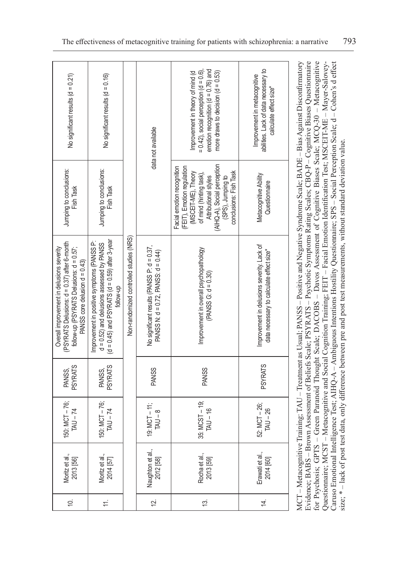| No significant results ( $d = 0.21$ )                                                                                                                                   | No significant results $(d = 0.16)$                                                                                                                           |                                         | data not available                                                                      | emotion recognition ( $d = 0.76$ ) and<br>$= 0.42$ ), social perception (d = 0.6).<br>Improvement in theory of mind (d<br>more draws to decision $(d = 0.53)$                                                    | abilities. Lack of data necessary to<br>Improvement in metacognitive<br>calculate effect size <sup>*</sup> |
|-------------------------------------------------------------------------------------------------------------------------------------------------------------------------|---------------------------------------------------------------------------------------------------------------------------------------------------------------|-----------------------------------------|-----------------------------------------------------------------------------------------|------------------------------------------------------------------------------------------------------------------------------------------------------------------------------------------------------------------|------------------------------------------------------------------------------------------------------------|
| Jumping to conclusions:<br>Fish Task                                                                                                                                    | Jumping to conclusions:<br>Fish Task                                                                                                                          |                                         |                                                                                         | (AIHQ-A), Social perception<br>(FEIT), Emotion regulation<br>Facial emotion recognition<br>(MSCEIT-ME), Theory<br>conclusions: Fish Task<br>of mind (hinting task),<br>(SPS), Jumping to<br>Attributional styles | Metacognitive Ability<br>Questionnaire                                                                     |
| (PSYRATS Delusions: d = 0.37) after 6-month<br>follow-up (PSYRATS Delusions: $d = 0.57$ ;<br>Overall improvement in delusions severity<br>PANSS core delusion d = 0.43) | $(d = 0.45)$ and PSYRATS $(d = 0.59)$ after 3-year<br>Improvement in positive symptoms (PANSS P:<br>$d = 0.52$ ) and delusions assessed by PANSS<br>follow-up | Non-randomized controlled studies (NRS) | No significant results (PANSS P: d = 0.37,<br>PANSS N: $d = 0.72$ , PANSS: $d = 0.44$ ) | Improvement in overall psychopathology<br>$(PANSS G: d = 0.30)$                                                                                                                                                  | Improvement in delusions severity. Lack of<br>data necessary to calculate effect size*                     |
| <b>PSYRATS</b><br>PANSS,                                                                                                                                                | <b>PSYRATS</b><br>PANSS,                                                                                                                                      |                                         | <b>PANSS</b>                                                                            | <b>PANSS</b>                                                                                                                                                                                                     | <b>PSYRATS</b>                                                                                             |
| 150: MCT-76;<br>$TAU - 74$                                                                                                                                              | 150: MCT-76;<br>$TAU - 74$                                                                                                                                    |                                         | 19: $MCT - 11$ ;<br>$TAU - 8$                                                           | 35: MCST - 19;<br>$TAU - 16$                                                                                                                                                                                     | 52: MCT - 26;<br>$TAU - 26$                                                                                |
| Moritz et al.,<br>2013 [56]                                                                                                                                             | Moritz et al.,<br>2014 [57]                                                                                                                                   |                                         | Naughton et al.,<br>2012 [58]                                                           | Rocha et al.,<br>2013 [59]                                                                                                                                                                                       | Erawati et al.,<br>2014 [60]                                                                               |
| Ó.                                                                                                                                                                      | $\pm$                                                                                                                                                         |                                         | $\overline{2}$                                                                          | 13.                                                                                                                                                                                                              | $\overline{4}$                                                                                             |

MCT – Metacognitive Training; TAU – Treatment as Usual; PANSS – Positive and Negative Syndrome Scale; BADE – Bias Against Disconfirmatory Evidence; BABS - Brown Assessment of Beliefs Scale; PSYRATS - Psychotic Symptoms Rating Scales; CBQ-P - Cognitive Biases Questionnaire Evidence; BABS – Brown Assessment of Beliefs Scale; PSYRATS – Psychotic Symptoms Rating Scales; CBQ-P – Cognitive Biases Questionnaire for Psychosis; GPTS - Green Paranoid Thought Scale; DACOBS - Davos Assessment of Cognitive Biases Scale; MCQ-30 - Metacognitive for Psychosis; GPTS – Green Paranoid Thought Scale; DACOBS – Davos Assessment of Cognitive Biases Scale; MCQ-30 – Metacognitive Caruso Emotional Intelligence Test; AIHQ-A – Ambiguous Intentions Hostility Questionnaire; SPS – Social Perception Scale; d – Cohen's d effect Questionnaire; MCST - Metacognitive and Social Cognition Training; FEIT - Facial Emotion Identification Test; MSCEIT-ME - Mayer-Salovey-Caruso Emotional Intelligence Test; AHIQ-A – Ambiguous Intentions Hostility Questionnaire; SPS – Social Perception Scale; d – Cohen's d effect MCT-Metacognitive Training; TAU - Treatment as Usual; PANSS - Positive and Negative Syndrome Scale; BADE - Bias Against Disconfirmatory Questionnaire; MCST – Metacognitive and Social Cognition Training; FEIT – Facial Emotion Identification Test; MSCEIT-ME – Mayer-Saloveysize; \* - lack of post test data, only difference between pre and post test measurements, without standard deviation value. size; \* – lack of post test data, only difference between pre and post test measurements, without standard deviation value.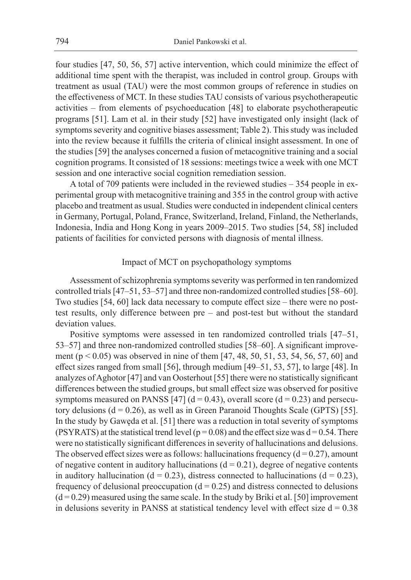four studies [47, 50, 56, 57] active intervention, which could minimize the effect of additional time spent with the therapist, was included in control group. Groups with treatment as usual (TAU) were the most common groups of reference in studies on the effectiveness of MCT. In these studies TAU consists of various psychotherapeutic activities – from elements of psychoeducation [48] to elaborate psychotherapeutic programs [51]. Lam et al. in their study [52] have investigated only insight (lack of symptoms severity and cognitive biases assessment; Table 2). This study was included into the review because it fulfills the criteria of clinical insight assessment. In one of the studies [59] the analyses concerned a fusion of metacognitive training and a social cognition programs. It consisted of 18 sessions: meetings twice a week with one MCT session and one interactive social cognition remediation session.

A total of 709 patients were included in the reviewed studies – 354 people in experimental group with metacognitive training and 355 in the control group with active placebo and treatment as usual. Studies were conducted in independent clinical centers in Germany, Portugal, Poland, France, Switzerland, Ireland, Finland, the Netherlands, Indonesia, India and Hong Kong in years 2009–2015. Two studies [54, 58] included patients of facilities for convicted persons with diagnosis of mental illness.

# Impact of MCT on psychopathology symptoms

Assessment of schizophrenia symptoms severity was performed in ten randomized controlled trials [47–51, 53–57] and three non-randomized controlled studies [58–60]. Two studies [54, 60] lack data necessary to compute effect size – there were no posttest results, only difference between pre – and post-test but without the standard deviation values.

Positive symptoms were assessed in ten randomized controlled trials [47–51, 53–57] and three non-randomized controlled studies [58–60]. A significant improvement (p < 0.05) was observed in nine of them [47, 48, 50, 51, 53, 54, 56, 57, 60] and effect sizes ranged from small [56], through medium [49–51, 53, 57], to large [48]. In analyzes of Aghotor [47] and van Oosterhout [55] there were no statistically significant differences between the studied groups, but small effect size was observed for positive symptoms measured on PANSS [47]  $(d = 0.43)$ , overall score  $(d = 0.23)$  and persecutory delusions  $(d = 0.26)$ , as well as in Green Paranoid Thoughts Scale (GPTS) [55]. In the study by Gawęda et al. [51] there was a reduction in total severity of symptoms (PSYRATS) at the statistical trend level ( $p = 0.08$ ) and the effect size was  $d = 0.54$ . There were no statistically significant differences in severity of hallucinations and delusions. The observed effect sizes were as follows: hallucinations frequency  $(d = 0.27)$ , amount of negative content in auditory hallucinations  $(d = 0.21)$ , degree of negative contents in auditory hallucination ( $d = 0.23$ ), distress connected to hallucinations ( $d = 0.23$ ), frequency of delusional preoccupation  $(d = 0.25)$  and distress connected to delusions  $(d=0.29)$  measured using the same scale. In the study by Briki et al. [50] improvement in delusions severity in PANSS at statistical tendency level with effect size  $d = 0.38$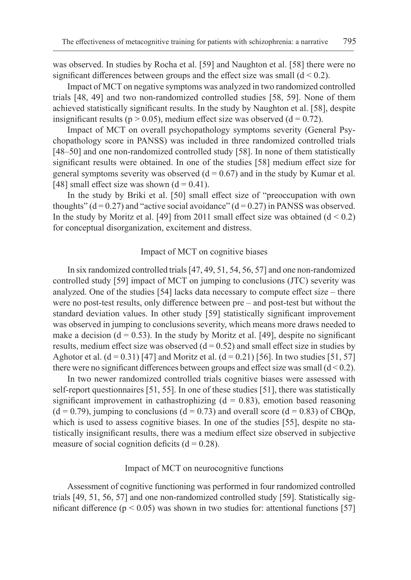was observed. In studies by Rocha et al. [59] and Naughton et al. [58] there were no significant differences between groups and the effect size was small  $(d < 0.2)$ .

Impact of MCT on negative symptoms was analyzed in two randomized controlled trials [48, 49] and two non-randomized controlled studies [58, 59]. None of them achieved statistically significant results. In the study by Naughton et al. [58], despite insignificant results ( $p > 0.05$ ), medium effect size was observed ( $d = 0.72$ ).

Impact of MCT on overall psychopathology symptoms severity (General Psychopathology score in PANSS) was included in three randomized controlled trials [48–50] and one non-randomized controlled study [58]. In none of them statistically significant results were obtained. In one of the studies [58] medium effect size for general symptoms severity was observed  $(d = 0.67)$  and in the study by Kumar et al. [48] small effect size was shown  $(d = 0.41)$ .

In the study by Briki et al. [50] small effect size of "preoccupation with own thoughts" ( $d = 0.27$ ) and "active social avoidance" ( $d = 0.27$ ) in PANSS was observed. In the study by Moritz et al. [49] from 2011 small effect size was obtained  $(d < 0.2)$ for conceptual disorganization, excitement and distress.

#### Impact of MCT on cognitive biases

In six randomized controlled trials [47, 49, 51, 54, 56, 57] and one non-randomized controlled study [59] impact of MCT on jumping to conclusions (JTC) severity was analyzed. One of the studies [54] lacks data necessary to compute effect size – there were no post-test results, only difference between pre – and post-test but without the standard deviation values. In other study [59] statistically significant improvement was observed in jumping to conclusions severity, which means more draws needed to make a decision ( $d = 0.53$ ). In the study by Moritz et al. [49], despite no significant results, medium effect size was observed  $(d = 0.52)$  and small effect size in studies by Aghotor et al.  $(d = 0.31)$  [47] and Moritz et al.  $(d = 0.21)$  [56]. In two studies [51, 57] there were no significant differences between groups and effect size was small  $(d < 0.2)$ .

In two newer randomized controlled trials cognitive biases were assessed with self-report questionnaires [51, 55]. In one of these studies [51], there was statistically significant improvement in cathastrophizing  $(d = 0.83)$ , emotion based reasoning  $(d = 0.79)$ , jumping to conclusions  $(d = 0.73)$  and overall score  $(d = 0.83)$  of CBQp, which is used to assess cognitive biases. In one of the studies [55], despite no statistically insignificant results, there was a medium effect size observed in subjective measure of social cognition deficits  $(d = 0.28)$ .

#### Impact of MCT on neurocognitive functions

Assessment of cognitive functioning was performed in four randomized controlled trials [49, 51, 56, 57] and one non-randomized controlled study [59]. Statistically significant difference ( $p \le 0.05$ ) was shown in two studies for: attentional functions [57]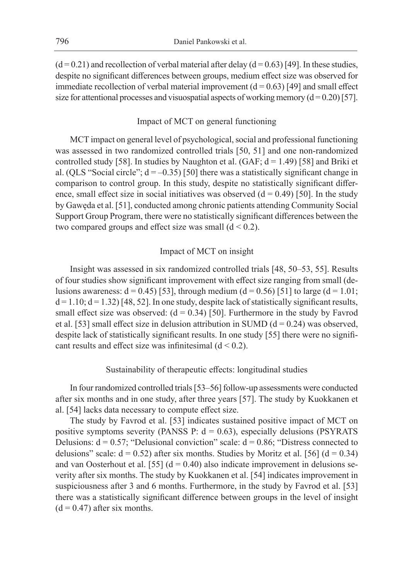$(d=0.21)$  and recollection of verbal material after delay  $(d=0.63)$  [49]. In these studies, despite no significant differences between groups, medium effect size was observed for immediate recollection of verbal material improvement  $(d = 0.63)$  [49] and small effect size for attentional processes and visuospatial aspects of working memory  $(d=0.20)$  [57].

# Impact of MCT on general functioning

MCT impact on general level of psychological, social and professional functioning was assessed in two randomized controlled trials [50, 51] and one non-randomized controlled study [58]. In studies by Naughton et al. (GAF;  $d = 1.49$ ) [58] and Briki et al. (QLS "Social circle";  $d = -0.35$ ) [50] there was a statistically significant change in comparison to control group. In this study, despite no statistically significant difference, small effect size in social initiatives was observed  $(d = 0.49)$  [50]. In the study by Gawęda et al. [51], conducted among chronic patients attending Community Social Support Group Program, there were no statistically significant differences between the two compared groups and effect size was small  $(d < 0.2)$ .

# Impact of MCT on insight

Insight was assessed in six randomized controlled trials [48, 50–53, 55]. Results of four studies show significant improvement with effect size ranging from small (delusions awareness:  $d = 0.45$  [53], through medium ( $d = 0.56$ ) [51] to large ( $d = 1.01$ ;  $d = 1.10$ ;  $d = 1.32$ ) [48, 52]. In one study, despite lack of statistically significant results, small effect size was observed:  $(d = 0.34)$  [50]. Furthermore in the study by Favrod et al. [53] small effect size in delusion attribution in SUMD ( $d = 0.24$ ) was observed, despite lack of statistically significant results. In one study [55] there were no significant results and effect size was infinitesimal  $(d < 0.2)$ .

# Sustainability of therapeutic effects: longitudinal studies

In four randomized controlled trials [53–56] follow-up assessments were conducted after six months and in one study, after three years [57]. The study by Kuokkanen et al. [54] lacks data necessary to compute effect size.

The study by Favrod et al. [53] indicates sustained positive impact of MCT on positive symptoms severity (PANSS P:  $d = 0.63$ ), especially delusions (PSYRATS Delusions:  $d = 0.57$ ; "Delusional conviction" scale:  $d = 0.86$ ; "Distress connected to delusions" scale:  $d = 0.52$ ) after six months. Studies by Moritz et al. [56] ( $d = 0.34$ ) and van Oosterhout et al. [55]  $(d = 0.40)$  also indicate improvement in delusions severity after six months. The study by Kuokkanen et al. [54] indicates improvement in suspiciousness after 3 and 6 months. Furthermore, in the study by Favrod et al. [53] there was a statistically significant difference between groups in the level of insight  $(d = 0.47)$  after six months.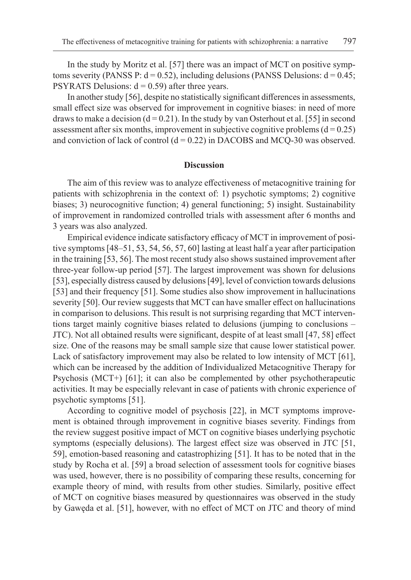In the study by Moritz et al. [57] there was an impact of MCT on positive symptoms severity (PANSS P:  $d = 0.52$ ), including delusions (PANSS Delusions:  $d = 0.45$ ; PSYRATS Delusions:  $d = 0.59$ ) after three years.

In another study [56], despite no statistically significant differences in assessments, small effect size was observed for improvement in cognitive biases: in need of more draws to make a decision ( $d = 0.21$ ). In the study by van Osterhout et al. [55] in second assessment after six months, improvement in subjective cognitive problems  $(d = 0.25)$ and conviction of lack of control  $(d = 0.22)$  in DACOBS and MCQ-30 was observed.

#### **Discussion**

The aim of this review was to analyze effectiveness of metacognitive training for patients with schizophrenia in the context of: 1) psychotic symptoms; 2) cognitive biases; 3) neurocognitive function; 4) general functioning; 5) insight. Sustainability of improvement in randomized controlled trials with assessment after 6 months and 3 years was also analyzed.

Empirical evidence indicate satisfactory efficacy of MCT in improvement of positive symptoms [48–51, 53, 54, 56, 57, 60] lasting at least half a year after participation in the training [53, 56]. The most recent study also shows sustained improvement after three-year follow-up period [57]. The largest improvement was shown for delusions [53], especially distress caused by delusions [49], level of conviction towards delusions [53] and their frequency [51]. Some studies also show improvement in hallucinations severity [50]. Our review suggests that MCT can have smaller effect on hallucinations in comparison to delusions. This result is not surprising regarding that MCT interventions target mainly cognitive biases related to delusions (jumping to conclusions – JTC). Not all obtained results were significant, despite of at least small [47, 58] effect size. One of the reasons may be small sample size that cause lower statistical power. Lack of satisfactory improvement may also be related to low intensity of MCT [61], which can be increased by the addition of Individualized Metacognitive Therapy for Psychosis (MCT+) [61]; it can also be complemented by other psychotherapeutic activities. It may be especially relevant in case of patients with chronic experience of psychotic symptoms [51].

According to cognitive model of psychosis [22], in MCT symptoms improvement is obtained through improvement in cognitive biases severity. Findings from the review suggest positive impact of MCT on cognitive biases underlying psychotic symptoms (especially delusions). The largest effect size was observed in JTC [51, 59], emotion-based reasoning and catastrophizing [51]. It has to be noted that in the study by Rocha et al. [59] a broad selection of assessment tools for cognitive biases was used, however, there is no possibility of comparing these results, concerning for example theory of mind, with results from other studies. Similarly, positive effect of MCT on cognitive biases measured by questionnaires was observed in the study by Gawęda et al. [51], however, with no effect of MCT on JTC and theory of mind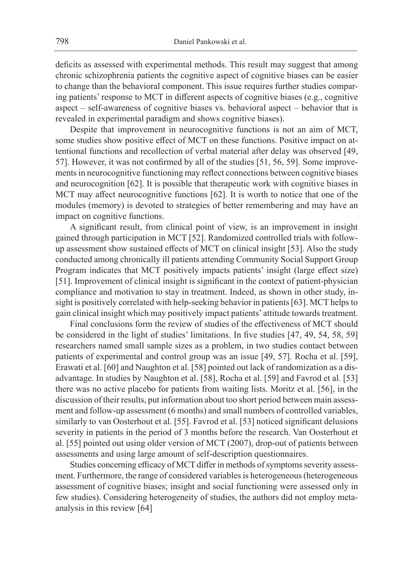deficits as assessed with experimental methods. This result may suggest that among chronic schizophrenia patients the cognitive aspect of cognitive biases can be easier to change than the behavioral component. This issue requires further studies comparing patients' response to MCT in different aspects of cognitive biases (e.g., cognitive aspect – self-awareness of cognitive biases vs. behavioral aspect – behavior that is revealed in experimental paradigm and shows cognitive biases).

Despite that improvement in neurocognitive functions is not an aim of MCT, some studies show positive effect of MCT on these functions. Positive impact on attentional functions and recollection of verbal material after delay was observed [49, 57]. However, it was not confirmed by all of the studies [51, 56, 59]. Some improvements in neurocognitive functioning may reflect connections between cognitive biases and neurocognition [62]. It is possible that therapeutic work with cognitive biases in MCT may affect neurocognitive functions [62]. It is worth to notice that one of the modules (memory) is devoted to strategies of better remembering and may have an impact on cognitive functions.

A significant result, from clinical point of view, is an improvement in insight gained through participation in MCT [52]. Randomized controlled trials with followup assessment show sustained effects of MCT on clinical insight [53]. Also the study conducted among chronically ill patients attending Community Social Support Group Program indicates that MCT positively impacts patients' insight (large effect size) [51]. Improvement of clinical insight is significant in the context of patient-physician compliance and motivation to stay in treatment. Indeed, as shown in other study, insight is positively correlated with help-seeking behavior in patients [63]. MCT helps to gain clinical insight which may positively impact patients' attitude towards treatment.

Final conclusions form the review of studies of the effectiveness of MCT should be considered in the light of studies' limitations. In five studies [47, 49, 54, 58, 59] researchers named small sample sizes as a problem, in two studies contact between patients of experimental and control group was an issue [49, 57]. Rocha et al. [59], Erawati et al. [60] and Naughton et al. [58] pointed out lack of randomization as a disadvantage. In studies by Naughton et al. [58], Rocha et al. [59] and Favrod et al. [53] there was no active placebo for patients from waiting lists. Moritz et al. [56], in the discussion of their results, put information about too short period between main assessment and follow-up assessment (6 months) and small numbers of controlled variables, similarly to van Oosterhout et al. [55]. Favrod et al. [53] noticed significant delusions severity in patients in the period of 3 months before the research. Van Oosterhout et al. [55] pointed out using older version of MCT (2007), drop-out of patients between assessments and using large amount of self-description questionnaires.

Studies concerning efficacy of MCT differ in methods of symptoms severity assessment. Furthermore, the range of considered variables is heterogeneous (heterogeneous assessment of cognitive biases; insight and social functioning were assessed only in few studies). Considering heterogeneity of studies, the authors did not employ metaanalysis in this review [64]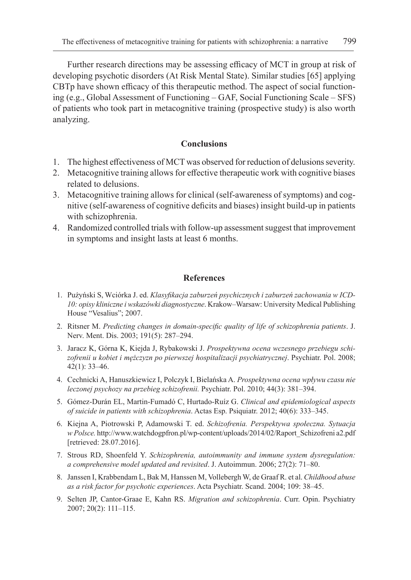Further research directions may be assessing efficacy of MCT in group at risk of developing psychotic disorders (At Risk Mental State). Similar studies [65] applying CBTp have shown efficacy of this therapeutic method. The aspect of social functioning (e.g., Global Assessment of Functioning – GAF, Social Functioning Scale – SFS) of patients who took part in metacognitive training (prospective study) is also worth analyzing.

# **Conclusions**

- 1. The highest effectiveness of MCT was observed for reduction of delusions severity.
- 2. Metacognitive training allows for effective therapeutic work with cognitive biases related to delusions.
- 3. Metacognitive training allows for clinical (self-awareness of symptoms) and cognitive (self-awareness of cognitive deficits and biases) insight build-up in patients with schizophrenia.
- 4. Randomized controlled trials with follow-up assessment suggest that improvement in symptoms and insight lasts at least 6 months.

# **References**

- 1. Pużyński S, Wciórka J. ed. *Klasyfikacja zaburzeń psychicznych i zaburzeń zachowania w ICD-10: opisy kliniczne i wskazówki diagnostyczne*. Krakow–Warsaw: University Medical Publishing House "Vesalius"; 2007.
- 2. Ritsner M. *Predicting changes in domain-specific quality of life of schizophrenia patients*. J. Nerv. Ment. Dis. 2003; 191(5): 287–294.
- 3. Jaracz K, Górna K, Kiejda J, Rybakowski J. *Prospektywna ocena wczesnego przebiegu schizofrenii u kobiet i mężczyzn po pierwszej hospitalizacji psychiatrycznej*. Psychiatr. Pol. 2008; 42(1): 33–46.
- 4. Cechnicki A, Hanuszkiewicz I, Polczyk I, Bielańska A. *Prospektywna ocena wpływu czasu nie leczonej psychozy na przebieg schizofrenii.* Psychiatr. Pol. 2010; 44(3): 381–394.
- 5. Gómez-Durán EL, Martin-Fumadó C, Hurtado-Ruíz G. *Clinical and epidemiological aspects of suicide in patients with schizophrenia*. Actas Esp. Psiquiatr. 2012; 40(6): 333–345.
- 6. Kiejna A, Piotrowski P, Adamowski T. ed. *Schizofrenia. Perspektywa społeczna. Sytuacja w Polsce.* http://www.watchdogpfron.pl/wp-content/uploads/2014/02/Raport\_Schizofreni a2.pdf [retrieved: 28.07.2016].
- 7. Strous RD, Shoenfeld Y. *Schizophrenia, autoimmunity and immune system dysregulation: a comprehensive model updated and revisited*. J. Autoimmun. 2006; 27(2): 71–80.
- 8. Janssen I, Krabbendam L, Bak M, Hanssen M, Vollebergh W, de Graaf R. et al. *Childhood abuse as a risk factor for psychotic experiences*. Acta Psychiatr. Scand. 2004; 109: 38–45.
- 9. Selten JP, Cantor-Graae E, Kahn RS. *Migration and schizophrenia*. Curr. Opin. Psychiatry 2007; 20(2): 111–115.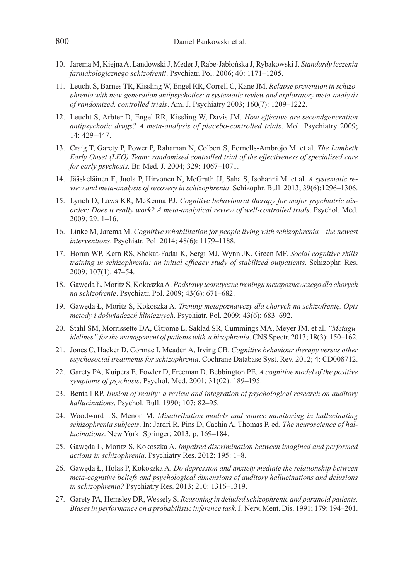- 10. Jarema M, Kiejna A, Landowski J, Meder J, Rabe-Jabłońska J, Rybakowski J. *Standardy leczenia farmakologicznego schizofrenii*. Psychiatr. Pol. 2006; 40: 1171–1205.
- 11. Leucht S, Barnes TR, Kissling W, Engel RR, Correll C, Kane JM. *Relapse prevention in schizophrenia with new-generation antipsychotics: a systematic review and exploratory meta-analysis of randomized, controlled trials*. Am. J. Psychiatry 2003; 160(7): 1209–1222.
- 12. Leucht S, Arbter D, Engel RR, Kissling W, Davis JM. *How effective are secondgeneration antipsychotic drugs? A meta-analysis of placebo-controlled trials*. Mol. Psychiatry 2009; 14: 429–447.
- 13. Craig T, Garety P, Power P, Rahaman N, Colbert S, Fornells-Ambrojo M. et al. *The Lambeth Early Onset (LEO) Team: randomised controlled trial of the effectiveness of specialised care for early psychosis*. Br. Med. J. 2004; 329: 1067–1071.
- 14. Jääskeläinen E, Juola P, Hirvonen N, McGrath JJ, Saha S, Isohanni M. et al. *A systematic review and meta-analysis of recovery in schizophrenia*. Schizophr. Bull. 2013; 39(6):1296–1306.
- 15. Lynch D, Laws KR, McKenna PJ. *Cognitive behavioural therapy for major psychiatric disorder: Does it really work? A meta-analytical review of well-controlled trials*. Psychol. Med. 2009; 29: 1–16.
- 16. Linke M, Jarema M. *Cognitive rehabilitation for people living with schizophrenia the newest interventions*. Psychiatr. Pol. 2014; 48(6): 1179–1188.
- 17. Horan WP, Kern RS, Shokat-Fadai K, Sergi MJ, Wynn JK, Green MF. *Social cognitive skills training in schizophrenia: an initial efficacy study of stabilized outpatients*. Schizophr. Res. 2009; 107(1): 47–54.
- 18. Gawęda Ł, Moritz S, Kokoszka A. *Podstawy teoretyczne treningu metapoznawczego dla chorych na schizofrenię*. Psychiatr. Pol. 2009; 43(6): 671–682.
- 19. Gawęda Ł, Moritz S, Kokoszka A. *Trening metapoznawczy dla chorych na schizofrenię. Opis metody i doświadczeń klinicznych*. Psychiatr. Pol. 2009; 43(6): 683–692.
- 20. Stahl SM, Morrissette DA, Citrome L, Saklad SR, Cummings MA, Meyer JM. et al. *"Metaguidelines" for the management of patients with schizophrenia*. CNS Spectr. 2013; 18(3): 150–162.
- 21. Jones C, Hacker D, Cormac I, Meaden A, Irving CB. *Cognitive behaviour therapy versus other psychosocial treatments for schizophrenia*. Cochrane Database Syst. Rev. 2012; 4: CD008712.
- 22. Garety PA, Kuipers E, Fowler D, Freeman D, Bebbington PE. *A cognitive model of the positive symptoms of psychosis*. Psychol. Med. 2001; 31(02): 189–195.
- 23. Bentall RP. *Ilusion of reality: a review and integration of psychological research on auditory hallucinations*. Psychol. Bull. 1990; 107: 82–95.
- 24. Woodward TS, Menon M. *Misattribution models and source monitoring in hallucinating schizophrenia subjects*. In: Jardri R, Pins D, Cachia A, Thomas P. ed. *The neuroscience of hallucinations*. New York: Springer; 2013. p. 169–184.
- 25. Gawęda Ł, Moritz S, Kokoszka A. *Impaired discrimination between imagined and performed actions in schizophrenia*. Psychiatry Res. 2012; 195: 1–8.
- 26. Gawęda Ł, Holas P, Kokoszka A. *Do depression and anxiety mediate the relationship between meta-cognitive beliefs and psychological dimensions of auditory hallucinations and delusions in schizophrenia?* Psychiatry Res. 2013; 210: 1316–1319.
- 27. Garety PA, Hemsley DR, Wessely S. *Reasoning in deluded schizophrenic and paranoid patients. Biases in performance on a probabilistic inference task*. J. Nerv. Ment. Dis. 1991; 179: 194–201.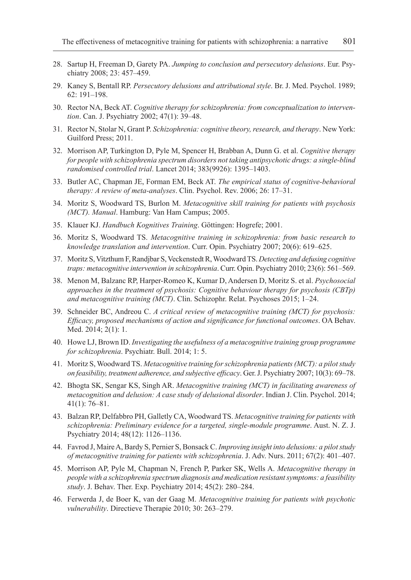- 28. Sartup H, Freeman D, Garety PA. *Jumping to conclusion and persecutory delusions*. Eur. Psychiatry 2008; 23: 457–459.
- 29. Kaney S, Bentall RP. *Persecutory delusions and attributional style*. Br. J. Med. Psychol. 1989; 62: 191–198.
- 30. Rector NA, Beck AT. *Cognitive therapy for schizophrenia: from conceptualization to intervention*. Can. J. Psychiatry 2002; 47(1): 39–48.
- 31. Rector N, Stolar N, Grant P. *Schizophrenia: cognitive theory, research, and therapy*. New York: Guilford Press; 2011.
- 32. Morrison AP, Turkington D, Pyle M, Spencer H, Brabban A, Dunn G. et al. *Cognitive therapy for people with schizophrenia spectrum disorders not taking antipsychotic drugs: a single-blind randomised controlled trial*. Lancet 2014; 383(9926): 1395–1403.
- 33. Butler AC, Chapman JE, Forman EM, Beck AT. *The empirical status of cognitive-behavioral therapy: A review of meta-analyses*. Clin. Psychol. Rev. 2006; 26: 17–31.
- 34. Moritz S, Woodward TS, Burlon M. *Metacognitive skill training for patients with psychosis (MCT). Manual*. Hamburg: Van Ham Campus; 2005.
- 35. Klauer KJ. *Handbuch Kognitives Training*. Göttingen: Hogrefe; 2001.
- 36. Moritz S, Woodward TS. *Metacognitive training in schizophrenia: from basic research to knowledge translation and intervention*. Curr. Opin. Psychiatry 2007; 20(6): 619–625.
- 37. Moritz S, Vitzthum F, Randjbar S, Veckenstedt R, Woodward TS. *Detecting and defusing cognitive traps: metacognitive intervention in schizophrenia*. Curr. Opin. Psychiatry 2010; 23(6): 561–569.
- 38. Menon M, Balzanc RP, Harper-Romeo K, Kumar D, Andersen D, Moritz S. et al. *Psychosocial approaches in the treatment of psychosis: Cognitive behaviour therapy for psychosis (CBTp) and metacognitive training (MCT)*. Clin. Schizophr. Relat. Psychoses 2015; 1–24.
- 39. Schneider BC, Andreou C. *A critical review of metacognitive training (MCT) for psychosis: Efficacy, proposed mechanisms of action and significance for functional outcomes*. OA Behav. Med. 2014; 2(1): 1.
- 40. Howe LJ, Brown ID. *Investigating the usefulness of a metacognitive training group programme for schizophrenia*. Psychiatr. Bull. 2014; 1: 5.
- 41. Moritz S, Woodward TS. *Metacognitive training for schizophrenia patients (MCT): a pilot study on feasibility, treatment adherence, and subjective efficacy*. Ger. J. Psychiatry 2007; 10(3): 69–78.
- 42. Bhogta SK, Sengar KS, Singh AR. *Metacognitive training (MCT) in facilitating awareness of metacognition and delusion: A case study of delusional disorder*. Indian J. Clin. Psychol. 2014; 41(1): 76–81.
- 43. Balzan RP, Delfabbro PH, Galletly CA, Woodward TS. *Metacognitive training for patients with schizophrenia: Preliminary evidence for a targeted, single-module programme*. Aust. N. Z. J. Psychiatry 2014; 48(12): 1126–1136.
- 44. Favrod J, Maire A, Bardy S, Pernier S, Bonsack C. *Improving insight into delusions: a pilot study of metacognitive training for patients with schizophrenia*. J. Adv. Nurs. 2011; 67(2): 401–407.
- 45. Morrison AP, Pyle M, Chapman N, French P, Parker SK, Wells A. *Metacognitive therapy in people with a schizophrenia spectrum diagnosis and medication resistant symptoms: a feasibility study*. J. Behav. Ther. Exp. Psychiatry 2014; 45(2): 280–284.
- 46. Ferwerda J, de Boer K, van der Gaag M. *Metacognitive training for patients with psychotic vulnerability*. Directieve Therapie 2010; 30: 263–279.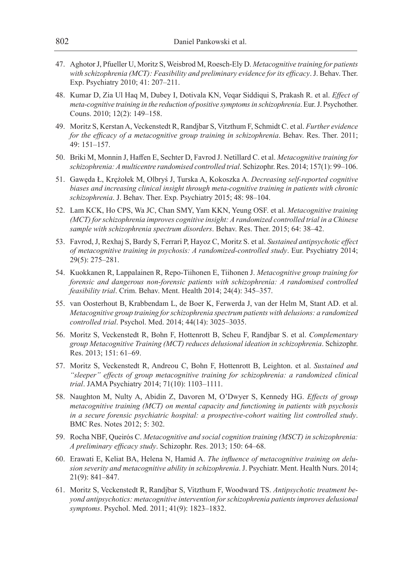- 47. Aghotor J, Pfueller U, Moritz S, Weisbrod M, Roesch-Ely D. *Metacognitive training for patients with schizophrenia (MCT): Feasibility and preliminary evidence for its efficacy*. J. Behav. Ther. Exp. Psychiatry 2010; 41: 207–211.
- 48. Kumar D, Zia Ul Haq M, Dubey I, Dotivala KN, Veqar Siddiqui S, Prakash R. et al. *Effect of meta-cognitive training in the reduction of positive symptoms in schizophrenia*. Eur. J. Psychother. Couns. 2010; 12(2): 149–158.
- 49. Moritz S, Kerstan A, Veckenstedt R, Randjbar S, Vitzthum F, Schmidt C. et al. *Further evidence for the efficacy of a metacognitive group training in schizophrenia*. Behav. Res. Ther. 2011; 49: 151–157.
- 50. Briki M, Monnin J, Haffen E, Sechter D, Favrod J. Netillard C. et al. *Metacognitive training for schizophrenia: A multicentre randomised controlled trial*. Schizophr. Res. 2014; 157(1): 99–106.
- 51. Gawęda Ł, Krężołek M, Olbryś J, Turska A, Kokoszka A. *Decreasing self-reported cognitive biases and increasing clinical insight through meta-cognitive training in patients with chronic schizophrenia*. J. Behav. Ther. Exp. Psychiatry 2015; 48: 98–104.
- 52. Lam KCK, Ho CPS, Wa JC, Chan SMY, Yam KKN, Yeung OSF. et al. *Metacognitive training (MCT) for schizophrenia improves cognitive insight: A randomized controlled trial in a Chinese sample with schizophrenia spectrum disorders*. Behav. Res. Ther. 2015; 64: 38–42.
- 53. Favrod, J, Rexhaj S, Bardy S, Ferrari P, Hayoz C, Moritz S. et al. *Sustained antipsychotic effect of metacognitive training in psychosis: A randomized-controlled study*. Eur. Psychiatry 2014; 29(5): 275–281.
- 54. Kuokkanen R, Lappalainen R, Repo-Tiihonen E, Tiihonen J. *Metacognitive group training for forensic and dangerous non-forensic patients with schizophrenia: A randomised controlled feasibility trial*. Crim. Behav. Ment. Health 2014; 24(4): 345–357.
- 55. van Oosterhout B, Krabbendam L, de Boer K, Ferwerda J, van der Helm M, Stant AD. et al. *Metacognitive group training for schizophrenia spectrum patients with delusions: a randomized controlled trial*. Psychol. Med. 2014; 44(14): 3025–3035.
- 56. Moritz S, Veckenstedt R, Bohn F, Hottenrott B, Scheu F, Randjbar S. et al. *Complementary group Metacognitive Training (MCT) reduces delusional ideation in schizophrenia*. Schizophr. Res. 2013; 151: 61–69.
- 57. Moritz S, Veckenstedt R, Andreou C, Bohn F, Hottenrott B, Leighton. et al. *Sustained and "sleeper" effects of group metacognitive training for schizophrenia: a randomized clinical trial*. JAMA Psychiatry 2014; 71(10): 1103–1111.
- 58. Naughton M, Nulty A, Abidin Z, Davoren M, O'Dwyer S, Kennedy HG. *Effects of group metacognitive training (MCT) on mental capacity and functioning in patients with psychosis in a secure forensic psychiatric hospital: a prospective-cohort waiting list controlled study*. BMC Res. Notes 2012; 5: 302.
- 59. Rocha NBF, Queirós C. *Metacognitive and social cognition training (MSCT) in schizophrenia: A preliminary efficacy study*. Schizophr. Res. 2013; 150: 64–68.
- 60. Erawati E, Keliat BA, Helena N, Hamid A. *The influence of metacognitive training on delusion severity and metacognitive ability in schizophrenia*. J. Psychiatr. Ment. Health Nurs. 2014; 21(9): 841–847.
- 61. Moritz S, Veckenstedt R, Randjbar S, Vitzthum F, Woodward TS. *Antipsychotic treatment beyond antipsychotics: metacognitive intervention for schizophrenia patients improves delusional symptoms*. Psychol. Med. 2011; 41(9): 1823–1832.